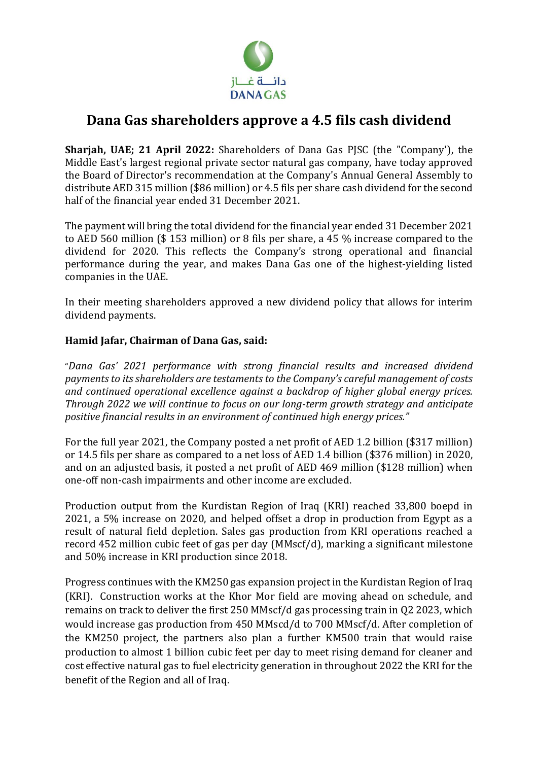

## **Dana Gas shareholders approve a 4.5 fils cash dividend**

**Sharjah, UAE; 21 April 2022:** Shareholders of Dana Gas PJSC (the "Company'), the Middle East's largest regional private sector natural gas company, have today approved the Board of Director's recommendation at the Company's Annual General Assembly to distribute AED 315 million (\$86 million) or 4.5 fils per share cash dividend for the second half of the financial year ended 31 December 2021.

The payment will bring the total dividend for the financial year ended 31 December 2021 to AED 560 million (\$ 153 million) or 8 fils per share, a 45 % increase compared to the dividend for 2020. This reflects the Company's strong operational and financial performance during the year, and makes Dana Gas one of the highest-yielding listed companies in the UAE.

In their meeting shareholders approved a new dividend policy that allows for interim dividend payments.

## **Hamid Jafar, Chairman of Dana Gas, said:**

"*Dana Gas' 2021 performance with strong financial results and increased dividend payments to its shareholders are testaments to the Company's careful management of costs and continued operational excellence against a backdrop of higher global energy prices. Through 2022 we will continue to focus on our long-term growth strategy and anticipate positive financial results in an environment of continued high energy prices."*

For the full year 2021, the Company posted a net profit of AED 1.2 billion (\$317 million) or 14.5 fils per share as compared to a net loss of AED 1.4 billion (\$376 million) in 2020, and on an adjusted basis, it posted a net profit of AED 469 million (\$128 million) when one-off non-cash impairments and other income are excluded.

Production output from the Kurdistan Region of Iraq (KRI) reached 33,800 boepd in 2021, a 5% increase on 2020, and helped offset a drop in production from Egypt as a result of natural field depletion. Sales gas production from KRI operations reached a record 452 million cubic feet of gas per day (MMscf/d), marking a significant milestone and 50% increase in KRI production since 2018.

Progress continues with the KM250 gas expansion project in the Kurdistan Region of Iraq (KRI). Construction works at the Khor Mor field are moving ahead on schedule, and remains on track to deliver the first 250 MMscf/d gas processing train in Q2 2023, which would increase gas production from 450 MMscd/d to 700 MMscf/d. After completion of the KM250 project, the partners also plan a further KM500 train that would raise production to almost 1 billion cubic feet per day to meet rising demand for cleaner and cost effective natural gas to fuel electricity generation in throughout 2022 the KRI for the benefit of the Region and all of Iraq.